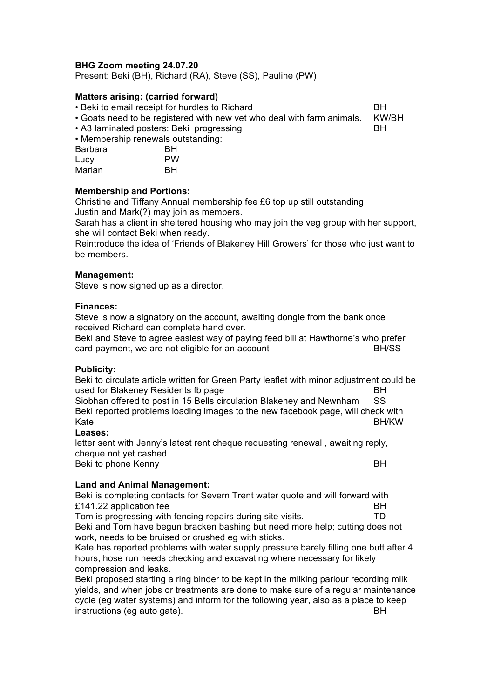# **BHG Zoom meeting 24.07.20**

Present: Beki (BH), Richard (RA), Steve (SS), Pauline (PW)

### **Matters arising: (carried forward)**

• Beki to email receipt for hurdles to Richard **BH** 

• Goats need to be registered with new vet who deal with farm animals. KW/BH

• A3 laminated posters: Beki progressing between the control BH • Membership renewals outstanding:

| Barbara | BН        |
|---------|-----------|
| Lucy    | <b>PW</b> |
| Marian  | BН        |

## **Membership and Portions:**

Christine and Tiffany Annual membership fee £6 top up still outstanding. Justin and Mark(?) may join as members.

Sarah has a client in sheltered housing who may join the veg group with her support, she will contact Beki when ready.

Reintroduce the idea of 'Friends of Blakeney Hill Growers' for those who just want to be members.

## **Management:**

Steve is now signed up as a director.

### **Finances:**

Steve is now a signatory on the account, awaiting dongle from the bank once received Richard can complete hand over.

Beki and Steve to agree easiest way of paying feed bill at Hawthorne's who prefer card payment, we are not eligible for an account **BH/SS** 

#### **Publicity:**

Beki to circulate article written for Green Party leaflet with minor adjustment could be used for Blakeney Residents fb page **BH** 

Siobhan offered to post in 15 Bells circulation Blakeney and Newnham SS Beki reported problems loading images to the new facebook page, will check with Kate **BH/KW** 

#### **Leases:**

letter sent with Jenny's latest rent cheque requesting renewal , awaiting reply, cheque not yet cashed Beki to phone Kenny BH

# **Land and Animal Management:**

Beki is completing contacts for Severn Trent water quote and will forward with £141.22 application fee BH

Tom is progressing with fencing repairs during site visits. TD Beki and Tom have begun bracken bashing but need more help; cutting does not work, needs to be bruised or crushed eg with sticks.

Kate has reported problems with water supply pressure barely filling one butt after 4 hours, hose run needs checking and excavating where necessary for likely compression and leaks.

Beki proposed starting a ring binder to be kept in the milking parlour recording milk yields, and when jobs or treatments are done to make sure of a regular maintenance cycle (eg water systems) and inform for the following year, also as a place to keep instructions (eg auto gate). BH